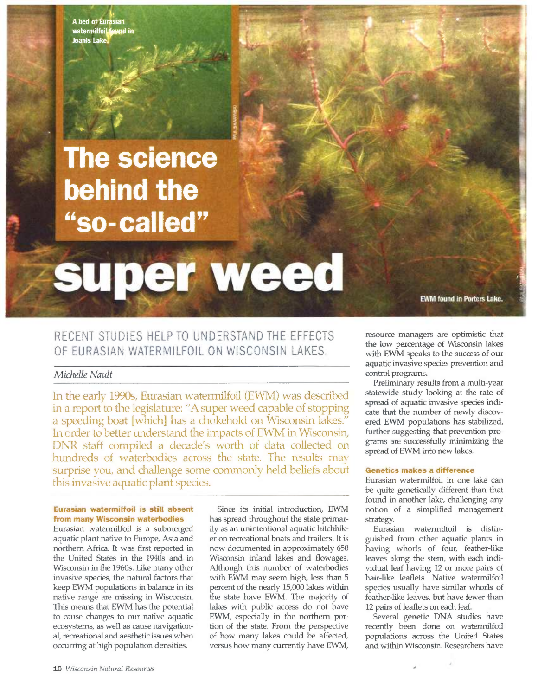A bed of Eurasian watermilfoil found in **Joanis Lake** 

## **The science** behind the "so-called"

# super weed

### RECENT STUDIES HELP TO UNDERSTAND THE EFFECTS OF EURASIAN WATERMILFOIL ON WISCONSIN LAKES.

#### Michelle Nault

In the early 1990s, Eurasian watermilfoil (EWM) was described in a report to the legislature: "A super weed capable of stopping a speeding boat [which] has a chokehold on Wisconsin lakes." In order to better understand the impacts of EWM in Wisconsin, DNR staff compiled a decade's worth of data collected on hundreds of waterbodies across the state. The results may surprise you, and challenge some commonly held beliefs about this invasive aquatic plant species.

#### Eurasian watermiffoil is still absent from many Wisconsin waterbodies

Eurasian waternulfoil is a submerged aquatic plant native to Europe, Asia and northern Africa. It was first reported in the United States in the 1940s and in Wisconsin in the 1960s. Like many other invasive species, the natural factors that keep EWM populations in balance in its native range are missing in Wisconsin. This means that EWM has the potential to cause changes to our native aquatic ecosystems, as well as cause navigational, recreational and aesthetic issues when occurring at high population densities.

Since its initial introduction, EWM has spread throughout the state primarily as an unintentional aquatic hitchhiker on recreational boats and trailers. It is now documented in approximately 650 Wisconsin inland lakes and flowages. Although this number of waterbodies with EWM may seem high, less than 5 percent of the nearly 15,000 lakes within the state have EWM. The majority of lakes with public access do not have EWM, especially in the northern portion of the state. From the perspective of how many lakes could be affected, versus how many currently have EWM,

resource managers are optimistic that the low percentage of Wisconsin lakes with EWM speaks to the success of our aquatic invasive species prevention and control programs.

**EWM found in Porters Lake.** 

Preliminary results from a multi-year statewide study looking at the rate of spread of aquatic invasive species indicate that the number of newly discovered EWM populations has stabilized, further suggesting that prevention programs are successfully minimizing the spread of EWM into new lakes.

#### Genetics makes a difference

Eurasian watermilfoil in one lake can be quite genetically different than that found in another lake, challenging any notion of a simplified management strategy.

Eurasian watermilfoil is distinguished from other aquatic plants in having whorls of four, feather-like leaves along the stem, with each individual leaf having 12 or more pairs of hair-like leaflets. Native waternulfoil species usually have similar whorls of feather-like leaves, but have fewer than 12 pairs of leaflets on each leaf.

Several genetic DNA studies have recently been done on watermilfoil populations across the United States and within Wisconsin. Researchers have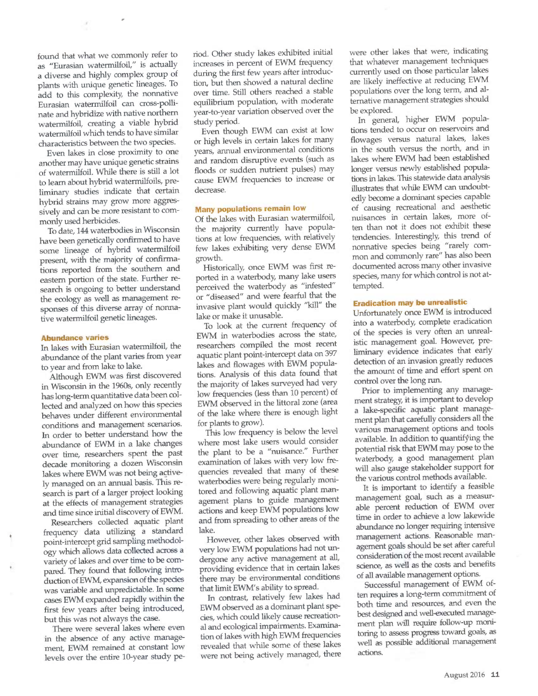found that what we commonly refer to as "Eurasian watermilfoil," is actually a diverse and highly complex group of plants with unique genetic lineages. To add to this complexity, the nonnative Eurasian waternulfoil can cross-pollinate and hybridize with native northern watermilfoil, creating a viable hybrid watermilfoil which tends to have similar characteristics between the two species.

Even lakes in close proximity to one another may have unique genetic strains of watermilfoil. While there is still a lot to learn about hybrid watermilfoils, preliminary studies indicate that certain hybrid strains may grow more aggressively and can be more resistant to commonly used herbicides.

To date, 144 waterbodies in Wisconsin have been genetically confirmed to have some lineage of hybrid watermilfoil present, with the majority of confirmations reported from the southern and eastern portion of the state. Further research is ongoing to better understand the ecology as well as management responses of this diverse array of nonnative watermilfoil genetic lineages.

#### Abundance varies

In lakes with Eurasian waternlilfoil, the abundance of the plant varies from year to year and from lake to lake.

Although EWM was first discovered in Wisconsin in the 1960s, only recently has long-term quantitative data been collected and analyzed on how this species behaves under different environmental conditions and management scenarios. In order to better understand how the abundance of EWM in a lake changes over time, researchers spent the past decade monitoring a dozen Wisconsin lakes where EWM was not being actively managed on an annual basis. This research is part of a lazger project looking at the effects of management strategies and time since initial discovery of EWM.

Researchers collected aquatic plant frequency data utilizing a standazd point-intercept grid sampling methodology which allows data collected across <sup>a</sup> variety of lakes and over time to be compared. They found that following introduction of EWM, expansion of the species was variable and unpredictable. In some cases EWM expanded rapidly within the first few years after being introduced, but this was not always the case.

There were several lakes where even in the absence of any active management, EWM remained at constant low levels over the entire 10-yeaz study period. Other study lakes exhibited initial increases in percent of EWM frequency during the first few years after introduction, but then showed a natural decline over time. Still others reached a stable equilibrium population, with moderate year-to-year variation observed over the study period.

Even though EWM can exist at low or high levels in certain lakes for many years, annual environmental conditions and random disruptive events (such as floods or sudden nutrient pulses) may cause EWM frequencies to increase or decrease.

#### Many populations remain low

Of the lakes with Eurasian watermilfoil, the majority currently have populations at low frequencies, with relatively few lakes exhibiting very dense EWM growth.

Historically, once EWM was first reported in a waterbody, many lake users perceived the waterbody as "infested" or "diseased" and were fearful that the invasive plant would quickly "kill" the lake or make it unusable.

To look at the current frequency of EWM in waterbodies across the state, researchers compiled the most recent aquatic plant point-intercept data on <sup>397</sup> lakes and flowages with EWM populations. Analysis of this data found that the majority of lakes surveyed had very low frequencies (less than 10 percent) of EWM observed in the littoral zone (area of the lake where there is enough light for plants to grow).

This low frequency is below the level where most lake users would consider the plant to be a "nuisance." Further examination of lakes with very low frequencies revealed that many of these waterbodies were being regulazly monitored and following aquatic plant management plans to guide management actions and keep EWM populations low and from spreading to other areas of the lake.

However, other lakes observed with very low EWM populations had not undergone any active management at all, providing evidence that in certain lakes there may be environmental conditions that limit EWM's ability to spread.

In contrast, relarively few lakes had EWM observed as a dominant plant species, which could likely cause recreational and ecological impairments. Examination of lakes with high EWM frequencies revealed that while some of these lakes were not being actively managed, there were other lakes that were, indicating that whatever management techniques currently used on those particular lakes are likely ineffective at reducing EWM populations over the long term, and altemative management strategies should be explored.

In general, higher EWM populations tended to occur on reservoirs and flowages versus natural lakes, lakes in the south versus the north, and in lakes where EWM had been established longer versus newly established populations in lakes. This statewide data analysis illustrates that while EWM can undoubtedly become a dominant species capable of causing recrearional and aesthetic nuisances in certain lakes, more often than not it does not exhibit these tendencies. Interestingly, this trend of nonnative species being "rarely common and commonly rare" has also been documented across many other invasive species, many for which control is not attempted.

#### Eradication may be unrealistic

Unfortunately once EWM is introduced into a waterbody, complete eradication of the species is very often an unrealistic management goal. However, preliminary evidence indicates that early detection of an invasion greatly reduces the amount of time and effort spent on control over the long run.

Prior to implementing any management strategy, it is important to develop a lake-specific aquatic plant management plan that carefully considers all the various management options and tools available. In addition to quantifying the potential risk that EWM may pose to the waterbody, a good management plan will also gauge stakeholder support for the various control methods available.

It is important to identify a feasible management goal, such as a measurable percent reduction of EWM over time in order to achieve a low lakewide abundance no longer requiring intensive management actions. Reasonable management goals should be set after careful consideration of the most recent available science, as well as the costs and benefits of all available management options.

Successful management of EWM often requires along-term commitrnent of both time and resources, and even the best designed and well-executed manage ment plan will require follow-up monitoring to assess progress toward goals, as well as possible additional management actions.